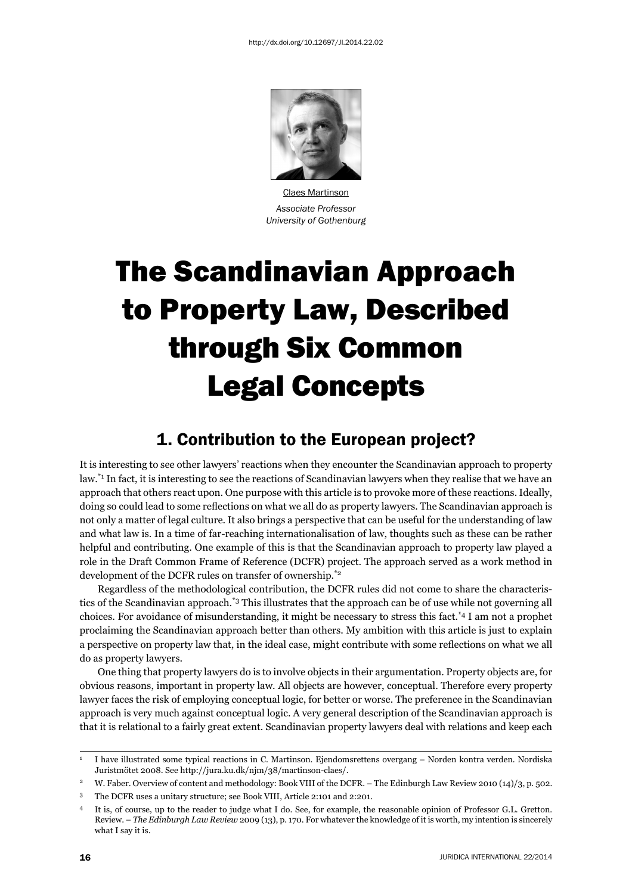

Claes Martinson *Associate Professor University of Gothenburg*

# The Scandinavian Approach to Property Law, Described through Six Common Legal Concepts

#### 1. Contribution to the European project?

It is interesting to see other lawyers' reactions when they encounter the Scandinavian approach to property law.<sup>\*1</sup> In fact, it is interesting to see the reactions of Scandinavian lawyers when they realise that we have an approach that others react upon. One purpose with this article is to provoke more of these reactions. Ideally, doing so could lead to some reflections on what we all do as property lawyers. The Scandinavian approach is not only a matter of legal culture. It also brings a perspective that can be useful for the understanding of law and what law is. In a time of far-reaching internationalisation of law, thoughts such as these can be rather helpful and contributing. One example of this is that the Scandinavian approach to property law played a role in the Draft Common Frame of Reference (DCFR) project. The approach served as a work method in development of the DCFR rules on transfer of ownership.\*2

Regardless of the methodological contribution, the DCFR rules did not come to share the characteristics of the Scandinavian approach.\*3 This illustrates that the approach can be of use while not governing all choices. For avoidance of misunderstanding, it might be necessary to stress this fact.\*4 I am not a prophet proclaiming the Scandinavian approach better than others. My ambition with this article is just to explain a perspective on property law that, in the ideal case, might contribute with some reflections on what we all do as property lawyers.

One thing that property lawyers do is to involve objects in their argumentation. Property objects are, for obvious reasons, important in property law. All objects are however, conceptual. Therefore every property lawyer faces the risk of employing conceptual logic, for better or worse. The preference in the Scandinavian approach is very much against conceptual logic. A very general description of the Scandinavian approach is that it is relational to a fairly great extent. Scandinavian property lawyers deal with relations and keep each

<sup>1</sup> I have illustrated some typical reactions in C. Martinson. Ejendomsrettens overgang – Norden kontra verden. Nordiska Juristmötet 2008. See http://jura.ku.dk/njm/38/martinson-claes/.

<sup>&</sup>lt;sup>2</sup> W. Faber. Overview of content and methodology: Book VIII of the DCFR. – The Edinburgh Law Review 2010 (14)/3, p. 502.

<sup>3</sup> The DCFR uses a unitary structure; see Book VIII, Article 2:101 and 2:201.

<sup>4</sup> It is, of course, up to the reader to judge what I do. See, for example, the reasonable opinion of Professor G.L. Gretton. Review. – *The Edinburgh Law Review* 2009 (13), p. 170. For whatever the knowledge of it is worth, my intention is sincerely what I say it is.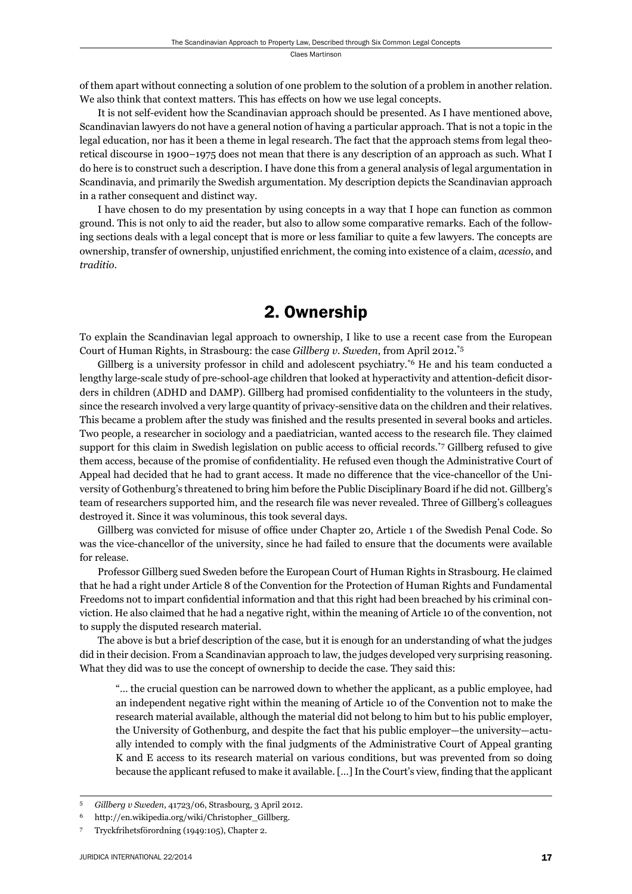of them apart without connecting a solution of one problem to the solution of a problem in another relation. We also think that context matters. This has effects on how we use legal concepts.

It is not self-evident how the Scandinavian approach should be presented. As I have mentioned above, Scandinavian lawyers do not have a general notion of having a particular approach. That is not a topic in the legal education, nor has it been a theme in legal research. The fact that the approach stems from legal theoretical discourse in 1900–1975 does not mean that there is any description of an approach as such. What I do here is to construct such a description. I have done this from a general analysis of legal argumentation in Scandinavia, and primarily the Swedish argumentation. My description depicts the Scandinavian approach in a rather consequent and distinct way.

I have chosen to do my presentation by using concepts in a way that I hope can function as common ground. This is not only to aid the reader, but also to allow some comparative remarks. Each of the following sections deals with a legal concept that is more or less familiar to quite a few lawyers. The concepts are ownership, transfer of ownership, unjustified enrichment, the coming into existence of a claim, *acessio*, and *traditio*.

#### 2. Ownership

To explain the Scandinavian legal approach to ownership, I like to use a recent case from the European Court of Human Rights, in Strasbourg: the case *Gillberg v. Sweden*, from April 2012.\*5

Gillberg is a university professor in child and adolescent psychiatry.\*6 He and his team conducted a lengthy large-scale study of pre-school-age children that looked at hyperactivity and attention-deficit disorders in children (ADHD and DAMP). Gillberg had promised confidentiality to the volunteers in the study, since the research involved a very large quantity of privacy-sensitive data on the children and their relatives. This became a problem after the study was finished and the results presented in several books and articles. Two people, a researcher in sociology and a paediatrician, wanted access to the research file. They claimed support for this claim in Swedish legislation on public access to official records.<sup>\*7</sup> Gillberg refused to give them access, because of the promise of confidentiality. He refused even though the Administrative Court of Appeal had decided that he had to grant access. It made no difference that the vice-chancellor of the University of Gothenburg's threatened to bring him before the Public Disciplinary Board if he did not. Gillberg's team of researchers supported him, and the research file was never revealed. Three of Gillberg's colleagues destroyed it. Since it was voluminous, this took several days.

Gillberg was convicted for misuse of office under Chapter 20, Article 1 of the Swedish Penal Code. So was the vice-chancellor of the university, since he had failed to ensure that the documents were available for release.

Professor Gillberg sued Sweden before the European Court of Human Rights in Strasbourg. He claimed that he had a right under Article 8 of the Convention for the Protection of Human Rights and Fundamental Freedoms not to impart confidential information and that this right had been breached by his criminal conviction. He also claimed that he had a negative right, within the meaning of Article 10 of the convention, not to supply the disputed research material.

The above is but a brief description of the case, but it is enough for an understanding of what the judges did in their decision. From a Scandinavian approach to law, the judges developed very surprising reasoning. What they did was to use the concept of ownership to decide the case. They said this:

"… the crucial question can be narrowed down to whether the applicant, as a public employee, had an independent negative right within the meaning of Article 10 of the Convention not to make the research material available, although the material did not belong to him but to his public employer, the University of Gothenburg, and despite the fact that his public employer—the university—actually intended to comply with the final judgments of the Administrative Court of Appeal granting K and E access to its research material on various conditions, but was prevented from so doing because the applicant refused to make it available. [...] In the Court's view, finding that the applicant

<sup>5</sup> *Gillberg v Sweden*, 41723/06, Strasbourg, 3 April 2012.

<sup>6</sup> http://en.wikipedia.org/wiki/Christopher\_Gillberg.

<sup>7</sup> Tryckfrihetsförordning (1949:105), Chapter 2.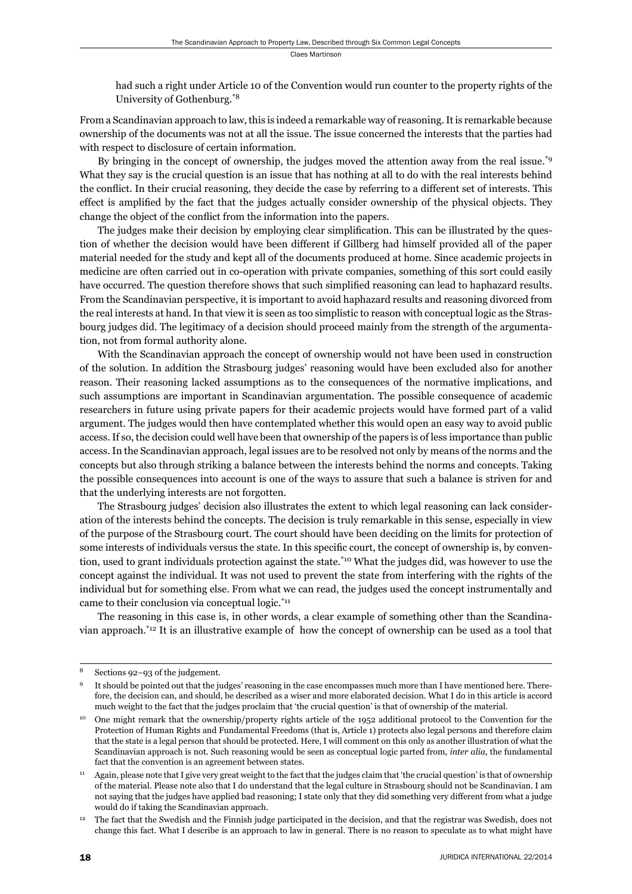had such a right under Article 10 of the Convention would run counter to the property rights of the University of Gothenburg.\*8

From a Scandinavian approach to law, this is indeed a remarkable way of reasoning. It is remarkable because ownership of the documents was not at all the issue. The issue concerned the interests that the parties had with respect to disclosure of certain information.

By bringing in the concept of ownership, the judges moved the attention away from the real issue.<sup>\*9</sup> What they say is the crucial question is an issue that has nothing at all to do with the real interests behind the conflict. In their crucial reasoning, they decide the case by referring to a different set of interests. This effect is amplified by the fact that the judges actually consider ownership of the physical objects. They change the object of the conflict from the information into the papers.

The judges make their decision by employing clear simplification. This can be illustrated by the question of whether the decision would have been different if Gillberg had himself provided all of the paper material needed for the study and kept all of the documents produced at home. Since academic projects in medicine are often carried out in co-operation with private companies, something of this sort could easily have occurred. The question therefore shows that such simplified reasoning can lead to haphazard results. From the Scandinavian perspective, it is important to avoid haphazard results and reasoning divorced from the real interests at hand. In that view it is seen as too simplistic to reason with conceptual logic as the Strasbourg judges did. The legitimacy of a decision should proceed mainly from the strength of the argumentation, not from formal authority alone.

With the Scandinavian approach the concept of ownership would not have been used in construction of the solution. In addition the Strasbourg judges' reasoning would have been excluded also for another reason. Their reasoning lacked assumptions as to the consequences of the normative implications, and such assumptions are important in Scandinavian argumentation. The possible consequence of academic researchers in future using private papers for their academic projects would have formed part of a valid argument. The judges would then have contemplated whether this would open an easy way to avoid public access. If so, the decision could well have been that ownership of the papers is of less importance than public access. In the Scandinavian approach, legal issues are to be resolved not only by means of the norms and the concepts but also through striking a balance between the interests behind the norms and concepts. Taking the possible consequences into account is one of the ways to assure that such a balance is striven for and that the underlying interests are not forgotten.

The Strasbourg judges' decision also illustrates the extent to which legal reasoning can lack consideration of the interests behind the concepts. The decision is truly remarkable in this sense, especially in view of the purpose of the Strasbourg court. The court should have been deciding on the limits for protection of some interests of individuals versus the state. In this specific court, the concept of ownership is, by convention, used to grant individuals protection against the state.\*10 What the judges did, was however to use the concept against the individual. It was not used to prevent the state from interfering with the rights of the individual but for something else. From what we can read, the judges used the concept instrumentally and came to their conclusion via conceptual logic.\*11

The reasoning in this case is, in other words, a clear example of something other than the Scandinavian approach.\*12 It is an illustrative example of how the concept of ownership can be used as a tool that

<sup>8</sup> Sections 92–93 of the judgement.

It should be pointed out that the judges' reasoning in the case encompasses much more than I have mentioned here. Therefore, the decision can, and should, be described as a wiser and more elaborated decision. What I do in this article is accord much weight to the fact that the judges proclaim that 'the crucial question' is that of ownership of the material.

<sup>10</sup> One might remark that the ownership/property rights article of the 1952 additional protocol to the Convention for the Protection of Human Rights and Fundamental Freedoms (that is, Article 1) protects also legal persons and therefore claim that the state is a legal person that should be protected. Here, I will comment on this only as another illustration of what the Scandinavian approach is not. Such reasoning would be seen as conceptual logic parted from, *inter alia*, the fundamental fact that the convention is an agreement between states.

<sup>11</sup> Again, please note that I give very great weight to the fact that the judges claim that 'the crucial question' is that of ownership of the material. Please note also that I do understand that the legal culture in Strasbourg should not be Scandinavian. I am not saying that the judges have applied bad reasoning; I state only that they did something very different from what a judge would do if taking the Scandinavian approach.

 $12$  The fact that the Swedish and the Finnish judge participated in the decision, and that the registrar was Swedish, does not change this fact. What I describe is an approach to law in general. There is no reason to speculate as to what might have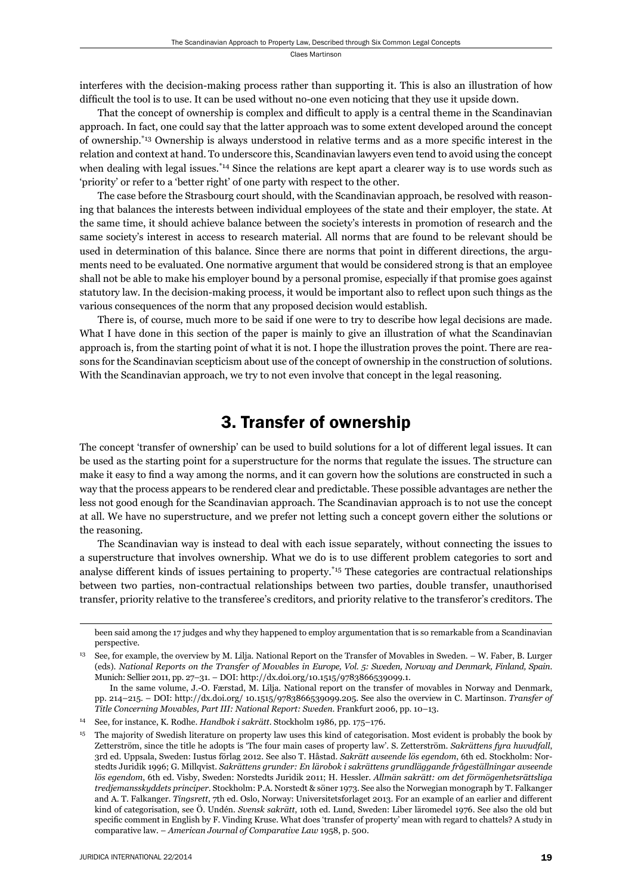interferes with the decision-making process rather than supporting it. This is also an illustration of how difficult the tool is to use. It can be used without no-one even noticing that they use it upside down.

That the concept of ownership is complex and difficult to apply is a central theme in the Scandinavian approach. In fact, one could say that the latter approach was to some extent developed around the concept of ownership.<sup>\*13</sup> Ownership is always understood in relative terms and as a more specific interest in the relation and context at hand. To underscore this, Scandinavian lawyers even tend to avoid using the concept when dealing with legal issues.\*14 Since the relations are kept apart a clearer way is to use words such as 'priority' or refer to a 'better right' of one party with respect to the other.

The case before the Strasbourg court should, with the Scandinavian approach, be resolved with reasoning that balances the interests between individual employees of the state and their employer, the state. At the same time, it should achieve balance between the society's interests in promotion of research and the same society's interest in access to research material. All norms that are found to be relevant should be used in determination of this balance. Since there are norms that point in different directions, the arguments need to be evaluated. One normative argument that would be considered strong is that an employee shall not be able to make his employer bound by a personal promise, especially if that promise goes against statutory law. In the decision-making process, it would be important also to reflect upon such things as the various consequences of the norm that any proposed decision would establish.

There is, of course, much more to be said if one were to try to describe how legal decisions are made. What I have done in this section of the paper is mainly to give an illustration of what the Scandinavian approach is, from the starting point of what it is not. I hope the illustration proves the point. There are reasons for the Scandinavian scepticism about use of the concept of ownership in the construction of solutions. With the Scandinavian approach, we try to not even involve that concept in the legal reasoning.

#### 3. Transfer of ownership

The concept 'transfer of ownership' can be used to build solutions for a lot of different legal issues. It can be used as the starting point for a superstructure for the norms that regulate the issues. The structure can make it easy to find a way among the norms, and it can govern how the solutions are constructed in such a way that the process appears to be rendered clear and predictable. These possible advantages are nether the less not good enough for the Scandinavian approach. The Scandinavian approach is to not use the concept at all. We have no superstructure, and we prefer not letting such a concept govern either the solutions or the reasoning.

The Scandinavian way is instead to deal with each issue separately, without connecting the issues to a superstructure that involves ownership. What we do is to use different problem categories to sort and analyse different kinds of issues pertaining to property.\*15 These categories are contractual relationships between two parties, non-contractual relationships between two parties, double transfer, unauthorised transfer, priority relative to the transferee's creditors, and priority relative to the transferor's creditors. The

14 See, for instance, K. Rodhe. *Handbok i sakrätt*. Stockholm 1986, pp. 175–176.

been said among the 17 judges and why they happened to employ argumentation that is so remarkable from a Scandinavian perspective.

<sup>13</sup> See, for example, the overview by M. Lilja. National Report on the Transfer of Movables in Sweden. – W. Faber, B. Lurger (eds). *National Reports on the Transfer of Movables in Europe, Vol. 5: Sweden, Norway and Denmark, Finland, Spain*. Munich: Sellier 2011, pp. 27–31. – DOI: http://dx.doi.org/10.1515/9783866539099.1.

In the same volume, J.-O. Færstad, M. Lilja. National report on the transfer of movables in Norway and Denmark, pp. 214–215. – DOI: http://dx.doi.org/ 10.1515/9783866539099.205. See also the overview in C. Martinson. *Transfer of Title Concerning Movables, Part III: National Report: Sweden*. Frankfurt 2006, pp. 10–13.

<sup>15</sup> The majority of Swedish literature on property law uses this kind of categorisation. Most evident is probably the book by Zetterström, since the title he adopts is 'The four main cases of property law'. S. Zetterström. *Sakrättens fyra huvudfall*, 3rd ed. Uppsala, Sweden: Iustus förlag 2012. See also T. Håstad. *Sakrätt avseende lös egendom*, 6th ed. Stockholm: Norstedts Juridik 1996; G. Millqvist. *Sakrättens grunder: En lärobok i sakrättens grundläggande frågeställningar avseende lös egendom*, 6th ed. Visby, Sweden: Norstedts Juridik 2011; H. Hessler. *Allmän sakrätt: om det förmögenhetsrättsliga tredjemansskyddets principer*. Stockholm: P.A. Norstedt & söner 1973. See also the Norwegian monograph by T. Falkanger and A. T. Falkanger. *Tingsrett*, 7th ed. Oslo, Norway: Universitetsforlaget 2013. For an example of an earlier and different kind of categorisation, see Ö. Undén. *Svensk sakrätt*, 10th ed. Lund, Sweden: Liber läromedel 1976. See also the old but specific comment in English by F. Vinding Kruse. What does 'transfer of property' mean with regard to chattels? A study in comparative law. – *American Journal of Comparative Law* 1958, p. 500.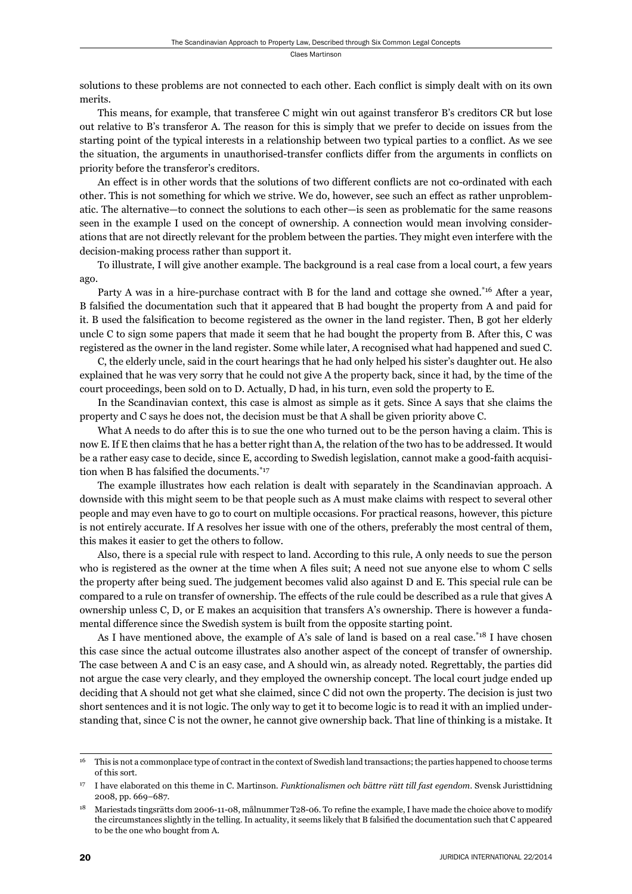solutions to these problems are not connected to each other. Each conflict is simply dealt with on its own merits.

This means, for example, that transferee C might win out against transferor B's creditors CR but lose out relative to B's transferor A. The reason for this is simply that we prefer to decide on issues from the starting point of the typical interests in a relationship between two typical parties to a conflict. As we see the situation, the arguments in unauthorised-transfer conflicts differ from the arguments in conflicts on priority before the transferor's creditors.

An effect is in other words that the solutions of two different conflicts are not co-ordinated with each other. This is not something for which we strive. We do, however, see such an effect as rather unproblematic. The alternative—to connect the solutions to each other—is seen as problematic for the same reasons seen in the example I used on the concept of ownership. A connection would mean involving considerations that are not directly relevant for the problem between the parties. They might even interfere with the decision-making process rather than support it.

To illustrate, I will give another example. The background is a real case from a local court, a few years ago.

Party A was in a hire-purchase contract with B for the land and cottage she owned.<sup>\*16</sup> After a year, B falsified the documentation such that it appeared that B had bought the property from A and paid for it. B used the falsification to become registered as the owner in the land register. Then, B got her elderly uncle C to sign some papers that made it seem that he had bought the property from B. After this, C was registered as the owner in the land register. Some while later, A recognised what had happened and sued C.

C, the elderly uncle, said in the court hearings that he had only helped his sister's daughter out. He also explained that he was very sorry that he could not give A the property back, since it had, by the time of the court proceedings, been sold on to D. Actually, D had, in his turn, even sold the property to E.

In the Scandinavian context, this case is almost as simple as it gets. Since A says that she claims the property and C says he does not, the decision must be that A shall be given priority above C.

What A needs to do after this is to sue the one who turned out to be the person having a claim. This is now E. If E then claims that he has a better right than A, the relation of the two has to be addressed. It would be a rather easy case to decide, since E, according to Swedish legislation, cannot make a good-faith acquisition when B has falsified the documents. $*17$ 

The example illustrates how each relation is dealt with separately in the Scandinavian approach. A downside with this might seem to be that people such as A must make claims with respect to several other people and may even have to go to court on multiple occasions. For practical reasons, however, this picture is not entirely accurate. If A resolves her issue with one of the others, preferably the most central of them, this makes it easier to get the others to follow.

Also, there is a special rule with respect to land. According to this rule, A only needs to sue the person who is registered as the owner at the time when A files suit; A need not sue anyone else to whom C sells the property after being sued. The judgement becomes valid also against D and E. This special rule can be compared to a rule on transfer of ownership. The effects of the rule could be described as a rule that gives A ownership unless C, D, or E makes an acquisition that transfers A's ownership. There is however a fundamental difference since the Swedish system is built from the opposite starting point.

As I have mentioned above, the example of A's sale of land is based on a real case.\*18 I have chosen this case since the actual outcome illustrates also another aspect of the concept of transfer of ownership. The case between A and C is an easy case, and A should win, as already noted. Regrettably, the parties did not argue the case very clearly, and they employed the ownership concept. The local court judge ended up deciding that A should not get what she claimed, since C did not own the property. The decision is just two short sentences and it is not logic. The only way to get it to become logic is to read it with an implied understanding that, since C is not the owner, he cannot give ownership back. That line of thinking is a mistake. It

<sup>&</sup>lt;sup>16</sup> This is not a commonplace type of contract in the context of Swedish land transactions; the parties happened to choose terms of this sort.

<sup>17</sup> I have elaborated on this theme in C. Martinson. *Funktionalismen och bättre rätt till fast egendom*. Svensk Juristtidning 2008, pp. 669–687.

Mariestads tingsrätts dom 2006-11-08, målnummer T28-06. To refine the example, I have made the choice above to modify the circumstances slightly in the telling. In actuality, it seems likely that B falsified the documentation such that C appeared to be the one who bought from A.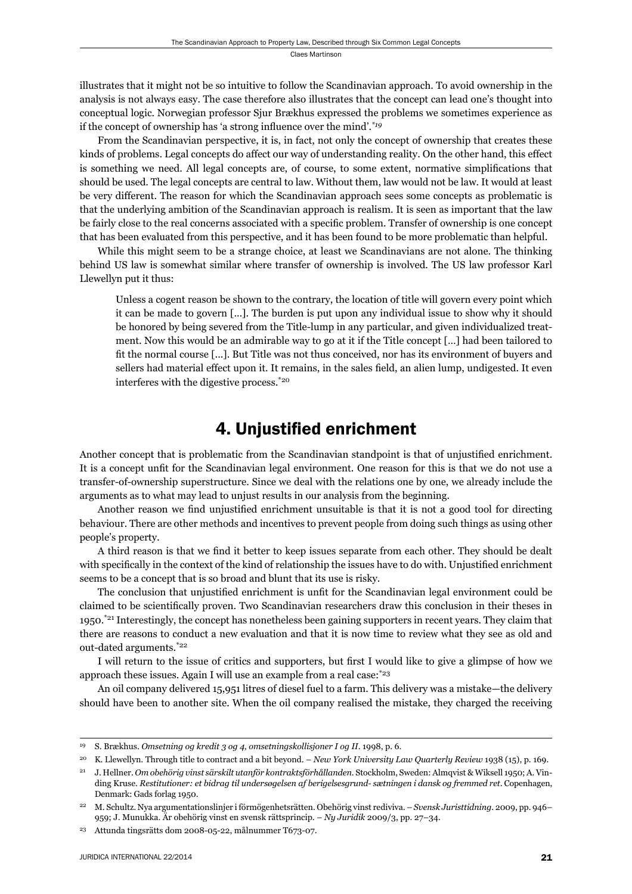illustrates that it might not be so intuitive to follow the Scandinavian approach. To avoid ownership in the analysis is not always easy. The case therefore also illustrates that the concept can lead one's thought into conceptual logic. Norwegian professor Sjur Brækhus expressed the problems we sometimes experience as if the concept of ownership has 'a strong influence over the mind'.<sup>\*19</sup>

From the Scandinavian perspective, it is, in fact, not only the concept of ownership that creates these kinds of problems. Legal concepts do affect our way of understanding reality. On the other hand, this effect is something we need. All legal concepts are, of course, to some extent, normative simplifications that should be used. The legal concepts are central to law. Without them, law would not be law. It would at least be very different. The reason for which the Scandinavian approach sees some concepts as problematic is that the underlying ambition of the Scandinavian approach is realism. It is seen as important that the law be fairly close to the real concerns associated with a specific problem. Transfer of ownership is one concept that has been evaluated from this perspective, and it has been found to be more problematic than helpful.

While this might seem to be a strange choice, at least we Scandinavians are not alone. The thinking behind US law is somewhat similar where transfer of ownership is involved. The US law professor Karl Llewellyn put it thus:

Unless a cogent reason be shown to the contrary, the location of title will govern every point which it can be made to govern […]. The burden is put upon any individual issue to show why it should be honored by being severed from the Title-lump in any particular, and given individualized treatment. Now this would be an admirable way to go at it if the Title concept […] had been tailored to fi t the normal course [...]. But Title was not thus conceived, nor has its environment of buyers and sellers had material effect upon it. It remains, in the sales field, an alien lump, undigested. It even interferes with the digestive process.\*20

### 4. Unjustified enrichment

Another concept that is problematic from the Scandinavian standpoint is that of unjustified enrichment. It is a concept unfit for the Scandinavian legal environment. One reason for this is that we do not use a transfer-of-ownership superstructure. Since we deal with the relations one by one, we already include the arguments as to what may lead to unjust results in our analysis from the beginning.

Another reason we find unjustified enrichment unsuitable is that it is not a good tool for directing behaviour. There are other methods and incentives to prevent people from doing such things as using other people's property.

A third reason is that we find it better to keep issues separate from each other. They should be dealt with specifically in the context of the kind of relationship the issues have to do with. Unjustified enrichment seems to be a concept that is so broad and blunt that its use is risky.

The conclusion that unjustified enrichment is unfit for the Scandinavian legal environment could be claimed to be scientifically proven. Two Scandinavian researchers draw this conclusion in their theses in 1950.<sup>\*21</sup> Interestingly, the concept has nonetheless been gaining supporters in recent years. They claim that there are reasons to conduct a new evaluation and that it is now time to review what they see as old and out-dated arguments.\*22

I will return to the issue of critics and supporters, but first I would like to give a glimpse of how we approach these issues. Again I will use an example from a real case: \*23

An oil company delivered 15,951 litres of diesel fuel to a farm. This delivery was a mistake—the delivery should have been to another site. When the oil company realised the mistake, they charged the receiving

<sup>19</sup> S. Brækhus. *Omsetning og kredit 3 og 4, omsetningskollisjoner I og II*. 1998, p. 6.

<sup>20</sup> K. Llewellyn. Through title to contract and a bit beyond. – *New York University Law Quarterly Review* 1938 (15), p. 169.

<sup>21</sup> J. Hellner. *Om obehörig vinst särskilt utanför kontraktsförhållanden*. Stockholm, Sweden: Almqvist & Wiksell 1950; A. Vinding Kruse. *Restitutioner: et bidrag til undersøgelsen af berigelsesgrund- sætningen i dansk og fremmed ret*. Copenhagen, Denmark: Gads forlag 1950.

<sup>22</sup> M. Schultz. Nya argumentationslinjer i förmögenhetsrätten. Obehörig vinst rediviva. – *Svensk Juristtidning*. 2009, pp. 946– 959; J. Munukka. Är obehörig vinst en svensk rättsprincip. – *Ny Juridik* 2009/3, pp. 27–34.

<sup>23</sup> Attunda tingsrätts dom 2008-05-22, målnummer T673-07.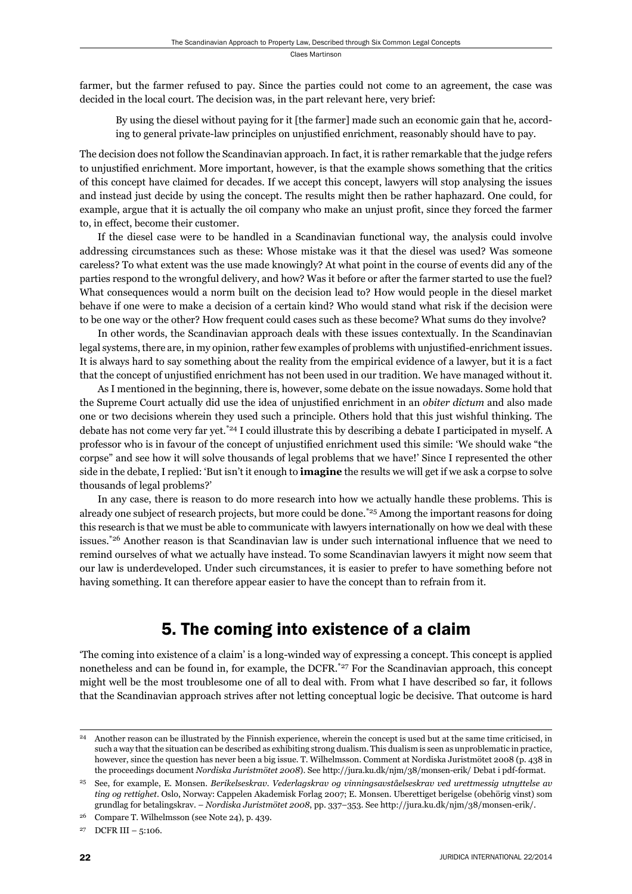farmer, but the farmer refused to pay. Since the parties could not come to an agreement, the case was decided in the local court. The decision was, in the part relevant here, very brief:

By using the diesel without paying for it [the farmer] made such an economic gain that he, according to general private-law principles on unjustified enrichment, reasonably should have to pay.

The decision does not follow the Scandinavian approach. In fact, it is rather remarkable that the judge refers to unjustified enrichment. More important, however, is that the example shows something that the critics of this concept have claimed for decades. If we accept this concept, lawyers will stop analysing the issues and instead just decide by using the concept. The results might then be rather haphazard. One could, for example, argue that it is actually the oil company who make an unjust profit, since they forced the farmer to, in effect, become their customer.

If the diesel case were to be handled in a Scandinavian functional way, the analysis could involve addressing circumstances such as these: Whose mistake was it that the diesel was used? Was someone careless? To what extent was the use made knowingly? At what point in the course of events did any of the parties respond to the wrongful delivery, and how? Was it before or after the farmer started to use the fuel? What consequences would a norm built on the decision lead to? How would people in the diesel market behave if one were to make a decision of a certain kind? Who would stand what risk if the decision were to be one way or the other? How frequent could cases such as these become? What sums do they involve?

In other words, the Scandinavian approach deals with these issues contextually. In the Scandinavian legal systems, there are, in my opinion, rather few examples of problems with unjustified-enrichment issues. It is always hard to say something about the reality from the empirical evidence of a lawyer, but it is a fact that the concept of unjustified enrichment has not been used in our tradition. We have managed without it.

As I mentioned in the beginning, there is, however, some debate on the issue nowadays. Some hold that the Supreme Court actually did use the idea of unjustified enrichment in an *obiter dictum* and also made one or two decisions wherein they used such a principle. Others hold that this just wishful thinking. The debate has not come very far yet.\*24 I could illustrate this by describing a debate I participated in myself. A professor who is in favour of the concept of unjustified enrichment used this simile: 'We should wake "the corpse" and see how it will solve thousands of legal problems that we have!' Since I represented the other side in the debate, I replied: 'But isn't it enough to **imagine** the results we will get if we ask a corpse to solve thousands of legal problems?'

In any case, there is reason to do more research into how we actually handle these problems. This is already one subject of research projects, but more could be done.\*25 Among the important reasons for doing this research is that we must be able to communicate with lawyers internationally on how we deal with these issues.<sup>\*26</sup> Another reason is that Scandinavian law is under such international influence that we need to remind ourselves of what we actually have instead. To some Scandinavian lawyers it might now seem that our law is underdeveloped. Under such circumstances, it is easier to prefer to have something before not having something. It can therefore appear easier to have the concept than to refrain from it.

## 5. The coming into existence of a claim

'The coming into existence of a claim' is a long-winded way of expressing a concept. This concept is applied nonetheless and can be found in, for example, the DCFR.<sup>\*27</sup> For the Scandinavian approach, this concept might well be the most troublesome one of all to deal with. From what I have described so far, it follows that the Scandinavian approach strives after not letting conceptual logic be decisive. That outcome is hard

27 DCFR III – 5:106.

<sup>24</sup> Another reason can be illustrated by the Finnish experience, wherein the concept is used but at the same time criticised, in such a way that the situation can be described as exhibiting strong dualism. This dualism is seen as unproblematic in practice, however, since the question has never been a big issue. T. Wilhelmsson. Comment at Nordiska Juristmötet 2008 (p. 438 in the proceedings document *Nordiska Juristmötet 2008*). See http://jura.ku.dk/njm/38/monsen-erik/ Debat i pdf-format.

<sup>25</sup> See, for example, E. Monsen. *Berikelseskrav. Vederlagskrav og vinningsavståelseskrav ved urettmessig utnyttelse av ting og rettighet*. Oslo, Norway: Cappelen Akademisk Forlag 2007; E. Monsen. Uberettiget berigelse (obehörig vinst) som grundlag for betalingskrav. – *Nordiska Juristmötet 2008*, pp. 337–353. See http://jura.ku.dk/njm/38/monsen-erik/.

<sup>26</sup> Compare T. Wilhelmsson (see Note 24), p. 439.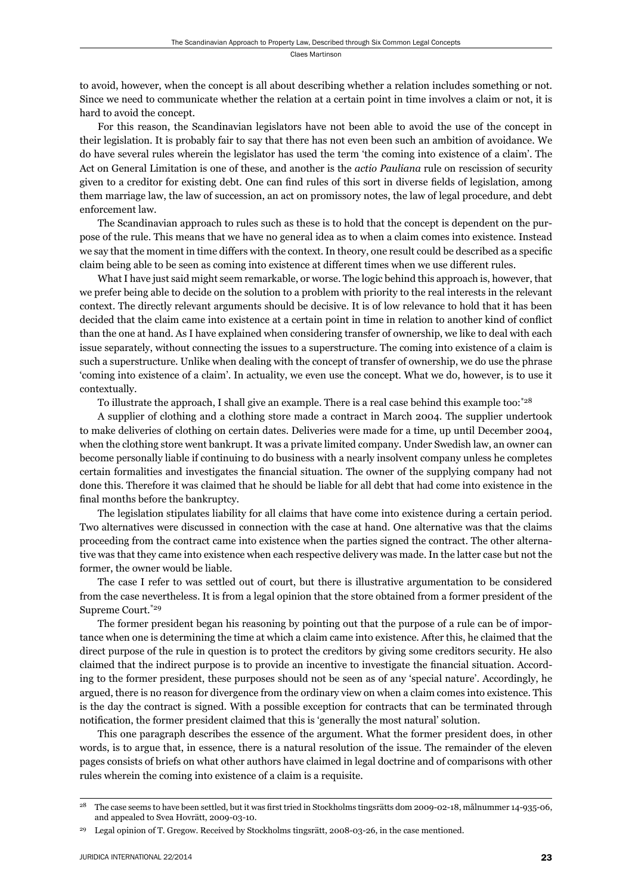to avoid, however, when the concept is all about describing whether a relation includes something or not. Since we need to communicate whether the relation at a certain point in time involves a claim or not, it is hard to avoid the concept.

For this reason, the Scandinavian legislators have not been able to avoid the use of the concept in their legislation. It is probably fair to say that there has not even been such an ambition of avoidance. We do have several rules wherein the legislator has used the term 'the coming into existence of a claim'. The Act on General Limitation is one of these, and another is the *actio Pauliana* rule on rescission of security given to a creditor for existing debt. One can find rules of this sort in diverse fields of legislation, among them marriage law, the law of succession, an act on promissory notes, the law of legal procedure, and debt enforcement law.

The Scandinavian approach to rules such as these is to hold that the concept is dependent on the purpose of the rule. This means that we have no general idea as to when a claim comes into existence. Instead we say that the moment in time differs with the context. In theory, one result could be described as a specific claim being able to be seen as coming into existence at different times when we use different rules.

What I have just said might seem remarkable, or worse. The logic behind this approach is, however, that we prefer being able to decide on the solution to a problem with priority to the real interests in the relevant context. The directly relevant arguments should be decisive. It is of low relevance to hold that it has been decided that the claim came into existence at a certain point in time in relation to another kind of conflict than the one at hand. As I have explained when considering transfer of ownership, we like to deal with each issue separately, without connecting the issues to a superstructure. The coming into existence of a claim is such a superstructure. Unlike when dealing with the concept of transfer of ownership, we do use the phrase 'coming into existence of a claim'. In actuality, we even use the concept. What we do, however, is to use it contextually.

To illustrate the approach, I shall give an example. There is a real case behind this example too:\*28

A supplier of clothing and a clothing store made a contract in March 2004. The supplier undertook to make deliveries of clothing on certain dates. Deliveries were made for a time, up until December 2004, when the clothing store went bankrupt. It was a private limited company. Under Swedish law, an owner can become personally liable if continuing to do business with a nearly insolvent company unless he completes certain formalities and investigates the financial situation. The owner of the supplying company had not done this. Therefore it was claimed that he should be liable for all debt that had come into existence in the final months before the bankruptcy.

The legislation stipulates liability for all claims that have come into existence during a certain period. Two alternatives were discussed in connection with the case at hand. One alternative was that the claims proceeding from the contract came into existence when the parties signed the contract. The other alternative was that they came into existence when each respective delivery was made. In the latter case but not the former, the owner would be liable.

The case I refer to was settled out of court, but there is illustrative argumentation to be considered from the case nevertheless. It is from a legal opinion that the store obtained from a former president of the Supreme Court.\*29

The former president began his reasoning by pointing out that the purpose of a rule can be of importance when one is determining the time at which a claim came into existence. After this, he claimed that the direct purpose of the rule in question is to protect the creditors by giving some creditors security. He also claimed that the indirect purpose is to provide an incentive to investigate the financial situation. According to the former president, these purposes should not be seen as of any 'special nature'. Accordingly, he argued, there is no reason for divergence from the ordinary view on when a claim comes into existence. This is the day the contract is signed. With a possible exception for contracts that can be terminated through notification, the former president claimed that this is 'generally the most natural' solution.

This one paragraph describes the essence of the argument. What the former president does, in other words, is to argue that, in essence, there is a natural resolution of the issue. The remainder of the eleven pages consists of briefs on what other authors have claimed in legal doctrine and of comparisons with other rules wherein the coming into existence of a claim is a requisite.

The case seems to have been settled, but it was first tried in Stockholms tingsrätts dom 2009-02-18, målnummer 14-935-06, and appealed to Svea Hovrätt, 2009-03-10.

Legal opinion of T. Gregow. Received by Stockholms tingsrätt, 2008-03-26, in the case mentioned.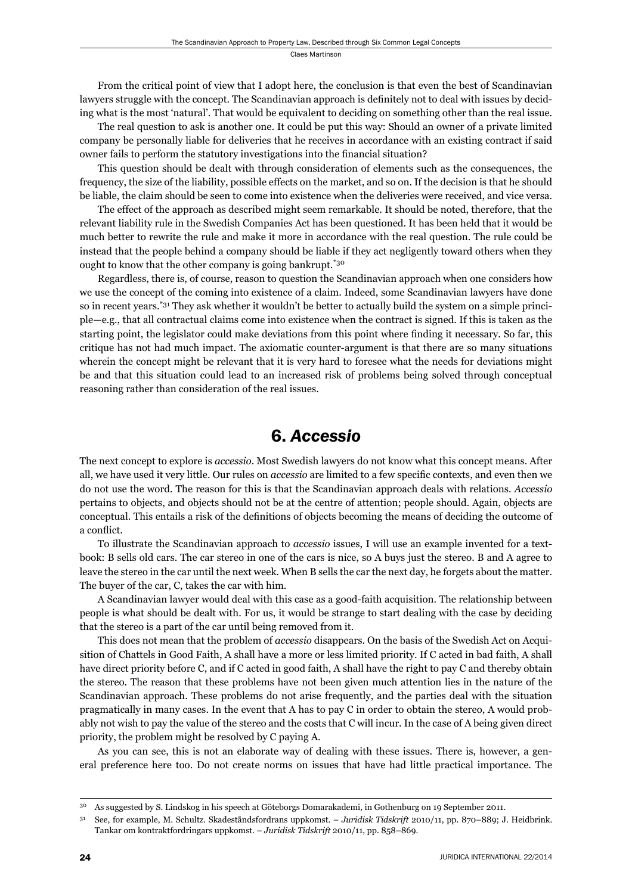From the critical point of view that I adopt here, the conclusion is that even the best of Scandinavian lawyers struggle with the concept. The Scandinavian approach is definitely not to deal with issues by deciding what is the most 'natural'. That would be equivalent to deciding on something other than the real issue.

The real question to ask is another one. It could be put this way: Should an owner of a private limited company be personally liable for deliveries that he receives in accordance with an existing contract if said owner fails to perform the statutory investigations into the financial situation?

This question should be dealt with through consideration of elements such as the consequences, the frequency, the size of the liability, possible effects on the market, and so on. If the decision is that he should be liable, the claim should be seen to come into existence when the deliveries were received, and vice versa.

The effect of the approach as described might seem remarkable. It should be noted, therefore, that the relevant liability rule in the Swedish Companies Act has been questioned. It has been held that it would be much better to rewrite the rule and make it more in accordance with the real question. The rule could be instead that the people behind a company should be liable if they act negligently toward others when they ought to know that the other company is going bankrupt.\*30

Regardless, there is, of course, reason to question the Scandinavian approach when one considers how we use the concept of the coming into existence of a claim. Indeed, some Scandinavian lawyers have done so in recent years.\*31 They ask whether it wouldn't be better to actually build the system on a simple principle—e.g., that all contractual claims come into existence when the contract is signed. If this is taken as the starting point, the legislator could make deviations from this point where finding it necessary. So far, this critique has not had much impact. The axiomatic counter-argument is that there are so many situations wherein the concept might be relevant that it is very hard to foresee what the needs for deviations might be and that this situation could lead to an increased risk of problems being solved through conceptual reasoning rather than consideration of the real issues.

#### 6. *Accessio*

The next concept to explore is *accessio*. Most Swedish lawyers do not know what this concept means. After all, we have used it very little. Our rules on *accessio* are limited to a few specific contexts, and even then we do not use the word. The reason for this is that the Scandinavian approach deals with relations. *Accessio* pertains to objects, and objects should not be at the centre of attention; people should. Again, objects are conceptual. This entails a risk of the definitions of objects becoming the means of deciding the outcome of a conflict.

To illustrate the Scandinavian approach to *accessio* issues, I will use an example invented for a textbook: B sells old cars. The car stereo in one of the cars is nice, so A buys just the stereo. B and A agree to leave the stereo in the car until the next week. When B sells the car the next day, he forgets about the matter. The buyer of the car, C, takes the car with him.

A Scandinavian lawyer would deal with this case as a good-faith acquisition. The relationship between people is what should be dealt with. For us, it would be strange to start dealing with the case by deciding that the stereo is a part of the car until being removed from it.

This does not mean that the problem of *accessio* disappears. On the basis of the Swedish Act on Acquisition of Chattels in Good Faith, A shall have a more or less limited priority. If C acted in bad faith, A shall have direct priority before C, and if C acted in good faith, A shall have the right to pay C and thereby obtain the stereo. The reason that these problems have not been given much attention lies in the nature of the Scandinavian approach. These problems do not arise frequently, and the parties deal with the situation pragmatically in many cases. In the event that A has to pay C in order to obtain the stereo, A would probably not wish to pay the value of the stereo and the costs that C will incur. In the case of A being given direct priority, the problem might be resolved by C paying A.

As you can see, this is not an elaborate way of dealing with these issues. There is, however, a general preference here too. Do not create norms on issues that have had little practical importance. The

<sup>30</sup> As suggested by S. Lindskog in his speech at Göteborgs Domarakademi, in Gothenburg on 19 September 2011.

<sup>31</sup> See, for example, M. Schultz. Skadeståndsfordrans uppkomst. – *Juridisk Tidskrift* 2010/11, pp. 870–889; J. Heidbrink. Tankar om kontraktfordringars uppkomst. – *Juridisk Tidskrift* 2010/11, pp. 858–869.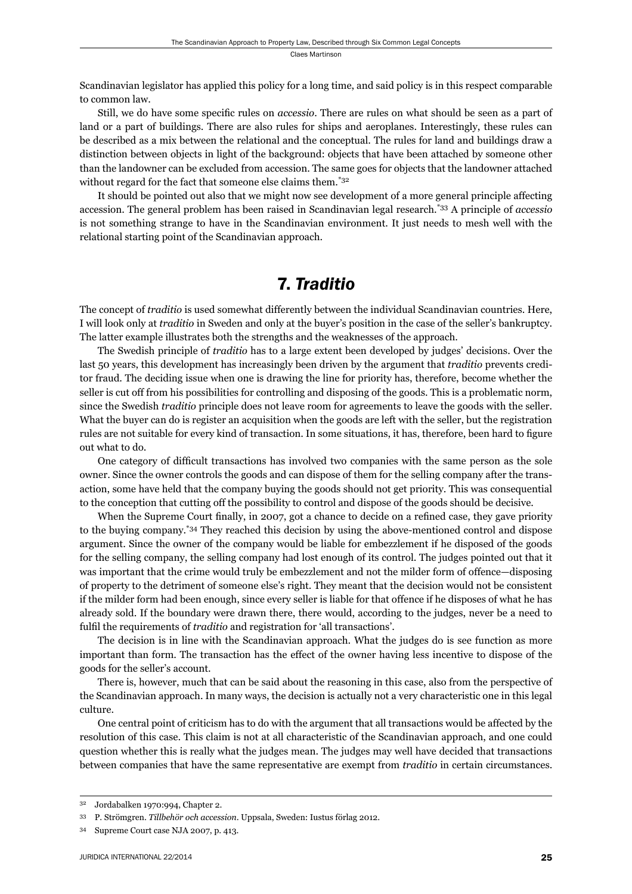Scandinavian legislator has applied this policy for a long time, and said policy is in this respect comparable to common law.

Still, we do have some specific rules on *accessio*. There are rules on what should be seen as a part of land or a part of buildings. There are also rules for ships and aeroplanes. Interestingly, these rules can be described as a mix between the relational and the conceptual. The rules for land and buildings draw a distinction between objects in light of the background: objects that have been attached by someone other than the landowner can be excluded from accession. The same goes for objects that the landowner attached without regard for the fact that someone else claims them.<sup>\*32</sup>

It should be pointed out also that we might now see development of a more general principle affecting accession. The general problem has been raised in Scandinavian legal research.\*33 A principle of *accessio* is not something strange to have in the Scandinavian environment. It just needs to mesh well with the relational starting point of the Scandinavian approach.

### 7. *Traditio*

The concept of *traditio* is used somewhat differently between the individual Scandinavian countries. Here, I will look only at *traditio* in Sweden and only at the buyer's position in the case of the seller's bankruptcy. The latter example illustrates both the strengths and the weaknesses of the approach.

The Swedish principle of *traditio* has to a large extent been developed by judges' decisions. Over the last 50 years, this development has increasingly been driven by the argument that *traditio* prevents creditor fraud. The deciding issue when one is drawing the line for priority has, therefore, become whether the seller is cut off from his possibilities for controlling and disposing of the goods. This is a problematic norm, since the Swedish *traditio* principle does not leave room for agreements to leave the goods with the seller. What the buyer can do is register an acquisition when the goods are left with the seller, but the registration rules are not suitable for every kind of transaction. In some situations, it has, therefore, been hard to figure out what to do.

One category of difficult transactions has involved two companies with the same person as the sole owner. Since the owner controls the goods and can dispose of them for the selling company after the transaction, some have held that the company buying the goods should not get priority. This was consequential to the conception that cutting off the possibility to control and dispose of the goods should be decisive.

When the Supreme Court finally, in 2007, got a chance to decide on a refined case, they gave priority to the buying company.\*34 They reached this decision by using the above-mentioned control and dispose argument. Since the owner of the company would be liable for embezzlement if he disposed of the goods for the selling company, the selling company had lost enough of its control. The judges pointed out that it was important that the crime would truly be embezzlement and not the milder form of offence—disposing of property to the detriment of someone else's right. They meant that the decision would not be consistent if the milder form had been enough, since every seller is liable for that offence if he disposes of what he has already sold. If the boundary were drawn there, there would, according to the judges, never be a need to fulfil the requirements of *traditio* and registration for 'all transactions'.

The decision is in line with the Scandinavian approach. What the judges do is see function as more important than form. The transaction has the effect of the owner having less incentive to dispose of the goods for the seller's account.

There is, however, much that can be said about the reasoning in this case, also from the perspective of the Scandinavian approach. In many ways, the decision is actually not a very characteristic one in this legal culture.

One central point of criticism has to do with the argument that all transactions would be affected by the resolution of this case. This claim is not at all characteristic of the Scandinavian approach, and one could question whether this is really what the judges mean. The judges may well have decided that transactions between companies that have the same representative are exempt from *traditio* in certain circumstances.

<sup>32</sup> Jordabalken 1970:994, Chapter 2.

<sup>33</sup> P. Strömgren. *Tillbehör och accession*. Uppsala, Sweden: Iustus förlag 2012.

<sup>34</sup> Supreme Court case NJA 2007, p. 413.